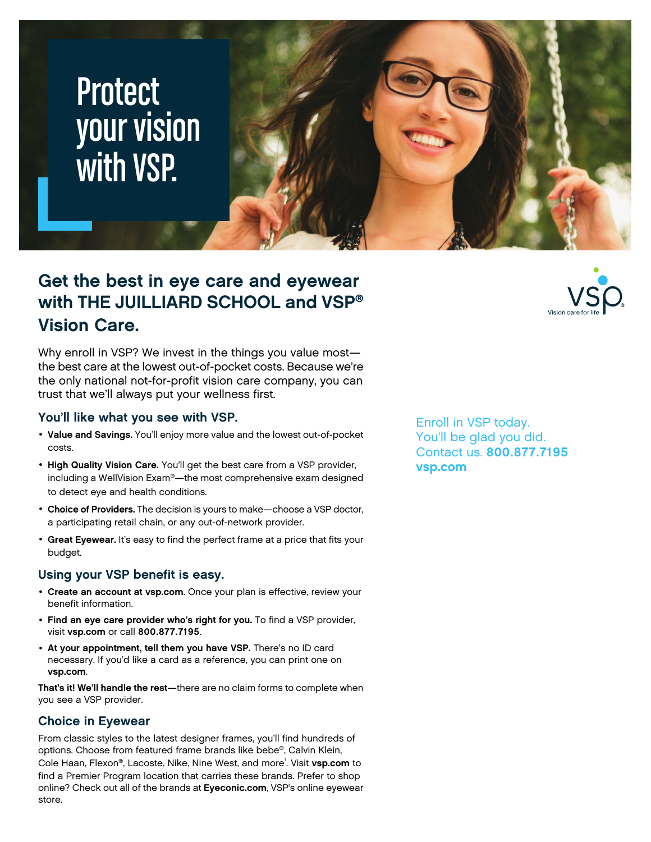# **Protect** your vision with VSP.

### **Get the best in eye care and eyewear with THE JUILLIARD SCHOOL and VSP® Vision Care.**

Why enroll in VSP? We invest in the things you value most the best care at the lowest out-of-pocket costs. Because we're the only national not-for-profit vision care company, you can trust that we'll always put your wellness first.

#### **You'll like what you see with VSP.**

- **Value and Savings.** You'll enjoy more value and the lowest out-of-pocket costs.
- **High Quality Vision Care.** You'll get the best care from a VSP provider, including a WellVision Exam®—the most comprehensive exam designed to detect eye and health conditions.
- **Choice of Providers.** The decision is yours to make—choose a VSP doctor, a participating retail chain, or any out-of-network provider.
- **Great Eyewear.** It's easy to find the perfect frame at a price that fits your budget.

#### **Using your VSP benefit is easy.**

- **Create an account at [vsp.com](www.vsp.com)**. Once your plan is effective, review your benefit information.
- **Find an eye care provider who's right for you.** To find a VSP provider, visit **[vsp.com](www.vsp.com)** or call **800.877.7195**.
- **At your appointment, tell them you have VSP.** There's no ID card necessary. If you'd like a card as a reference, you can print one on **[vsp.com](www.vsp.com)**.

**That's it! We'll handle the rest**—there are no claim forms to complete when you see a VSP provider.

#### **Choice in Eyewear**

From classic styles to the latest designer frames, you'll find hundreds of options. Choose from featured frame brands like bebe®, Calvin Klein, Cole Haan, Flexon®, Lacoste, Nike, Nine West, and more<sup>1</sup> . Visit **[vsp.com](www.vsp.com)** to find a Premier Program location that carries these brands. Prefer to shop online? Check out all of the brands at **[Eyeconic.com](www.eyeconic.com)**, VSP's online eyewear store.

Enroll in VSP today. You'll be glad you did. Contact us. **800.877.7195 [vsp.com](http://www.vsp.com)**